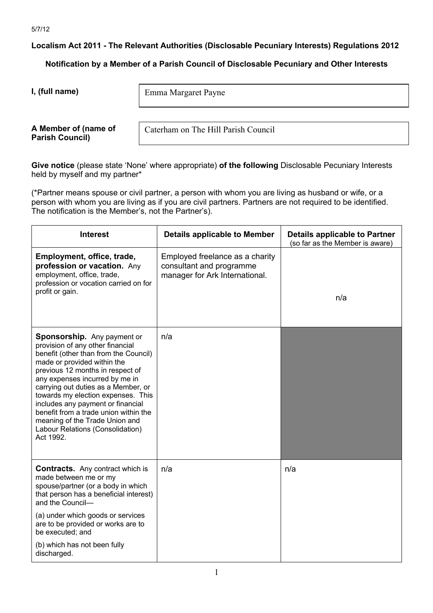**Localism Act 2011 - The Relevant Authorities (Disclosable Pecuniary Interests) Regulations 2012**

**Notification by a Member of a Parish Council of Disclosable Pecuniary and Other Interests**

**I, (full name)** 

Emma Margaret Payne

**A Member of (name of Parish Council)** 

Caterham on The Hill Parish Council

**Give notice** (please state 'None' where appropriate) **of the following** Disclosable Pecuniary Interests held by myself and my partner\*

(\*Partner means spouse or civil partner, a person with whom you are living as husband or wife, or a person with whom you are living as if you are civil partners. Partners are not required to be identified. The notification is the Member's, not the Partner's).

| <b>Interest</b>                                                                                                                                                                                                                                                                                                                                                                                                                                             | <b>Details applicable to Member</b>                                                           | <b>Details applicable to Partner</b><br>(so far as the Member is aware) |
|-------------------------------------------------------------------------------------------------------------------------------------------------------------------------------------------------------------------------------------------------------------------------------------------------------------------------------------------------------------------------------------------------------------------------------------------------------------|-----------------------------------------------------------------------------------------------|-------------------------------------------------------------------------|
| Employment, office, trade,<br>profession or vacation. Any<br>employment, office, trade,<br>profession or vocation carried on for<br>profit or gain.                                                                                                                                                                                                                                                                                                         | Employed freelance as a charity<br>consultant and programme<br>manager for Ark International. | n/a                                                                     |
| Sponsorship. Any payment or<br>provision of any other financial<br>benefit (other than from the Council)<br>made or provided within the<br>previous 12 months in respect of<br>any expenses incurred by me in<br>carrying out duties as a Member, or<br>towards my election expenses. This<br>includes any payment or financial<br>benefit from a trade union within the<br>meaning of the Trade Union and<br>Labour Relations (Consolidation)<br>Act 1992. | n/a                                                                                           |                                                                         |
| <b>Contracts.</b> Any contract which is<br>made between me or my<br>spouse/partner (or a body in which<br>that person has a beneficial interest)<br>and the Council-<br>(a) under which goods or services<br>are to be provided or works are to<br>be executed; and<br>(b) which has not been fully<br>discharged.                                                                                                                                          | n/a                                                                                           | n/a                                                                     |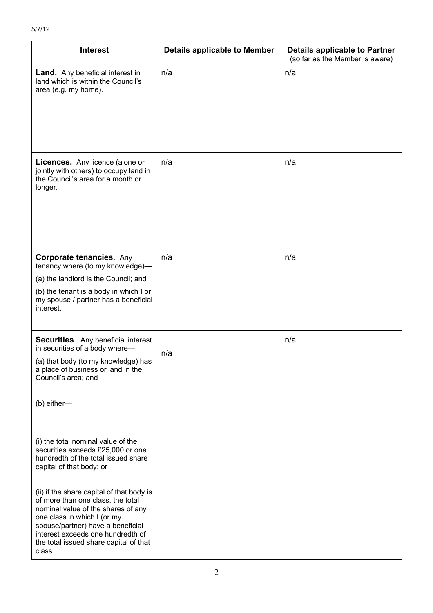| <b>Interest</b>                                                                                                                                                                                                                                                                   | <b>Details applicable to Member</b> | <b>Details applicable to Partner</b><br>(so far as the Member is aware) |
|-----------------------------------------------------------------------------------------------------------------------------------------------------------------------------------------------------------------------------------------------------------------------------------|-------------------------------------|-------------------------------------------------------------------------|
| <b>Land.</b> Any beneficial interest in<br>land which is within the Council's<br>area (e.g. my home).                                                                                                                                                                             | n/a                                 | n/a                                                                     |
| Licences. Any licence (alone or<br>jointly with others) to occupy land in<br>the Council's area for a month or<br>longer.                                                                                                                                                         | n/a                                 | n/a                                                                     |
| <b>Corporate tenancies. Any</b><br>tenancy where (to my knowledge)-                                                                                                                                                                                                               | n/a                                 | n/a                                                                     |
| (a) the landlord is the Council; and                                                                                                                                                                                                                                              |                                     |                                                                         |
| (b) the tenant is a body in which I or<br>my spouse / partner has a beneficial<br>interest.                                                                                                                                                                                       |                                     |                                                                         |
| <b>Securities.</b> Any beneficial interest                                                                                                                                                                                                                                        |                                     | n/a                                                                     |
| in securities of a body where-<br>(a) that body (to my knowledge) has<br>a place of business or land in the<br>Council's area; and                                                                                                                                                | n/a                                 |                                                                         |
| (b) either-                                                                                                                                                                                                                                                                       |                                     |                                                                         |
| (i) the total nominal value of the<br>securities exceeds £25,000 or one<br>hundredth of the total issued share<br>capital of that body; or                                                                                                                                        |                                     |                                                                         |
| (ii) if the share capital of that body is<br>of more than one class, the total<br>nominal value of the shares of any<br>one class in which I (or my<br>spouse/partner) have a beneficial<br>interest exceeds one hundredth of<br>the total issued share capital of that<br>class. |                                     |                                                                         |